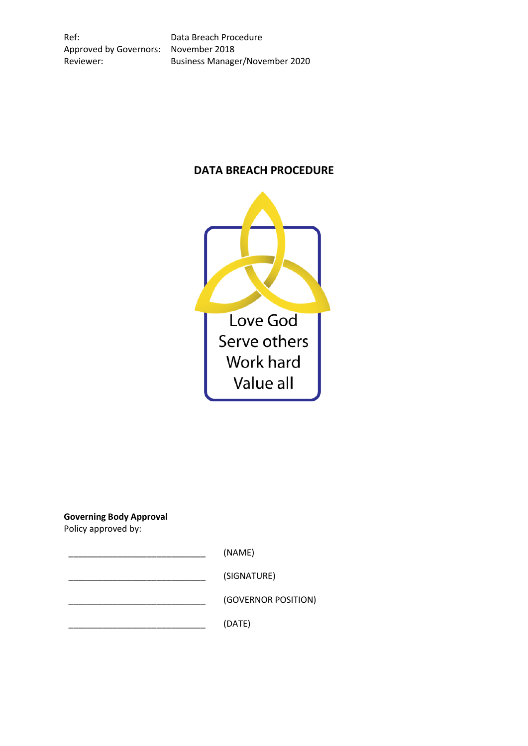Ref: Data Breach Procedure Approved by Governors: November 2018

Reviewer: Business Manager/November 2020

# **DATA BREACH PROCEDURE**



**Governing Body Approval** Policy approved by:

 $(NAME)$ 

\_\_\_\_\_\_\_\_\_\_\_\_\_\_\_\_\_\_\_\_\_\_\_\_\_\_\_\_ (SIGNATURE)

\_\_\_\_\_\_\_\_\_\_\_\_\_\_\_\_\_\_\_\_\_\_\_\_\_\_\_\_ (GOVERNOR POSITION)

\_\_\_\_\_\_\_\_\_\_\_\_\_\_\_\_\_\_\_\_\_\_\_\_\_\_\_\_ (DATE)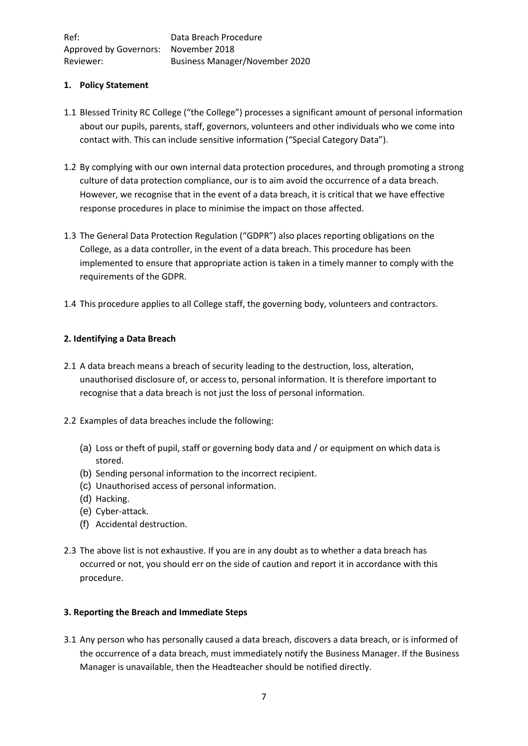## **1. Policy Statement**

- 1.1 Blessed Trinity RC College ("the College") processes a significant amount of personal information about our pupils, parents, staff, governors, volunteers and other individuals who we come into contact with. This can include sensitive information ("Special Category Data").
- 1.2 By complying with our own internal data protection procedures, and through promoting a strong culture of data protection compliance, our is to aim avoid the occurrence of a data breach. However, we recognise that in the event of a data breach, it is critical that we have effective response procedures in place to minimise the impact on those affected.
- 1.3 The General Data Protection Regulation ("GDPR") also places reporting obligations on the College, as a data controller, in the event of a data breach. This procedure has been implemented to ensure that appropriate action is taken in a timely manner to comply with the requirements of the GDPR.
- 1.4 This procedure applies to all College staff, the governing body, volunteers and contractors.

## **2. Identifying a Data Breach**

- 2.1 A data breach means a breach of security leading to the destruction, loss, alteration, unauthorised disclosure of, or access to, personal information. It is therefore important to recognise that a data breach is not just the loss of personal information.
- 2.2 Examples of data breaches include the following:
	- (a) Loss or theft of pupil, staff or governing body data and / or equipment on which data is stored.
	- (b) Sending personal information to the incorrect recipient.
	- (c) Unauthorised access of personal information.
	- (d) Hacking.
	- (e) Cyber-attack.
	- (f) Accidental destruction.
- 2.3 The above list is not exhaustive. If you are in any doubt as to whether a data breach has occurred or not, you should err on the side of caution and report it in accordance with this procedure.

## **3. Reporting the Breach and Immediate Steps**

3.1 Any person who has personally caused a data breach, discovers a data breach, or is informed of the occurrence of a data breach, must immediately notify the Business Manager. If the Business Manager is unavailable, then the Headteacher should be notified directly.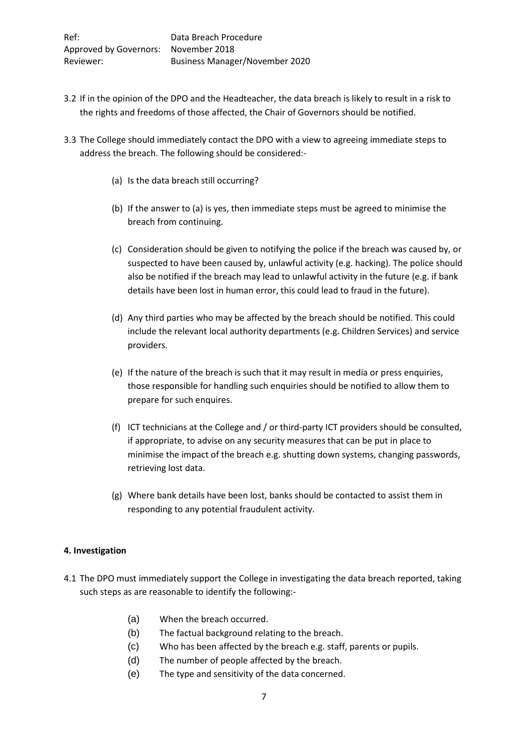- 3.2 If in the opinion of the DPO and the Headteacher, the data breach is likely to result in a risk to the rights and freedoms of those affected, the Chair of Governors should be notified.
- 3.3 The College should immediately contact the DPO with a view to agreeing immediate steps to address the breach. The following should be considered:-
	- (a) Is the data breach still occurring?
	- (b) If the answer to (a) is yes, then immediate steps must be agreed to minimise the breach from continuing.
	- (c) Consideration should be given to notifying the police if the breach was caused by, or suspected to have been caused by, unlawful activity (e.g. hacking). The police should also be notified if the breach may lead to unlawful activity in the future (e.g. if bank details have been lost in human error, this could lead to fraud in the future).
	- (d) Any third parties who may be affected by the breach should be notified. This could include the relevant local authority departments (e.g. Children Services) and service providers.
	- (e) If the nature of the breach is such that it may result in media or press enquiries, those responsible for handling such enquiries should be notified to allow them to prepare for such enquires.
	- (f) ICT technicians at the College and / or third-party ICT providers should be consulted, if appropriate, to advise on any security measures that can be put in place to minimise the impact of the breach e.g. shutting down systems, changing passwords, retrieving lost data.
	- (g) Where bank details have been lost, banks should be contacted to assist them in responding to any potential fraudulent activity.

## **4. Investigation**

- 4.1 The DPO must immediately support the College in investigating the data breach reported, taking such steps as are reasonable to identify the following:-
	- (a) When the breach occurred.
	- (b) The factual background relating to the breach.
	- (c) Who has been affected by the breach e.g. staff, parents or pupils.
	- (d) The number of people affected by the breach.
	- (e) The type and sensitivity of the data concerned.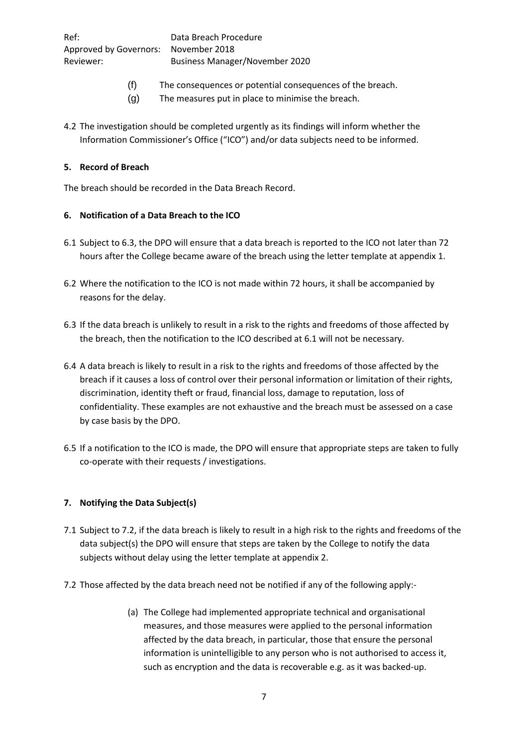- (f) The consequences or potential consequences of the breach.
- (g) The measures put in place to minimise the breach.
- 4.2 The investigation should be completed urgently as its findings will inform whether the Information Commissioner's Office ("ICO") and/or data subjects need to be informed.

#### **5. Record of Breach**

The breach should be recorded in the Data Breach Record.

## **6. Notification of a Data Breach to the ICO**

- 6.1 Subject to 6.3, the DPO will ensure that a data breach is reported to the ICO not later than 72 hours after the College became aware of the breach using the letter template at appendix 1.
- 6.2 Where the notification to the ICO is not made within 72 hours, it shall be accompanied by reasons for the delay.
- 6.3 If the data breach is unlikely to result in a risk to the rights and freedoms of those affected by the breach, then the notification to the ICO described at 6.1 will not be necessary.
- 6.4 A data breach is likely to result in a risk to the rights and freedoms of those affected by the breach if it causes a loss of control over their personal information or limitation of their rights, discrimination, identity theft or fraud, financial loss, damage to reputation, loss of confidentiality. These examples are not exhaustive and the breach must be assessed on a case by case basis by the DPO.
- 6.5 If a notification to the ICO is made, the DPO will ensure that appropriate steps are taken to fully co-operate with their requests / investigations.

## **7. Notifying the Data Subject(s)**

- 7.1 Subject to 7.2, if the data breach is likely to result in a high risk to the rights and freedoms of the data subject(s) the DPO will ensure that steps are taken by the College to notify the data subjects without delay using the letter template at appendix 2.
- 7.2 Those affected by the data breach need not be notified if any of the following apply:-
	- (a) The College had implemented appropriate technical and organisational measures, and those measures were applied to the personal information affected by the data breach, in particular, those that ensure the personal information is unintelligible to any person who is not authorised to access it, such as encryption and the data is recoverable e.g. as it was backed-up.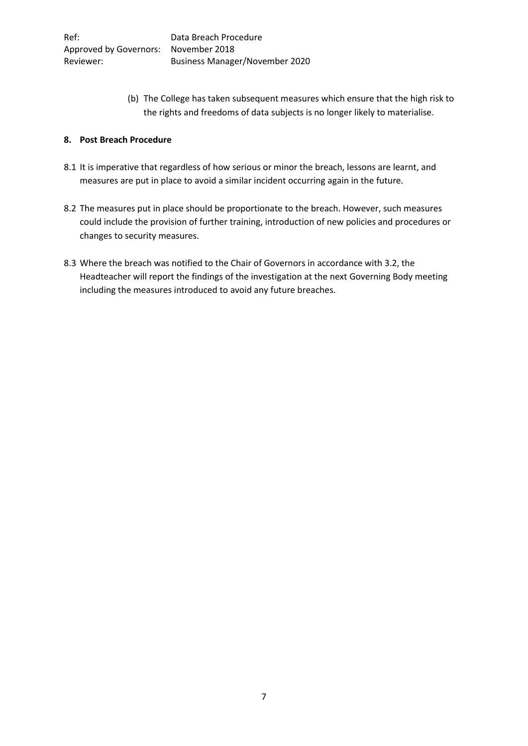(b) The College has taken subsequent measures which ensure that the high risk to the rights and freedoms of data subjects is no longer likely to materialise.

## **8. Post Breach Procedure**

- 8.1 It is imperative that regardless of how serious or minor the breach, lessons are learnt, and measures are put in place to avoid a similar incident occurring again in the future.
- 8.2 The measures put in place should be proportionate to the breach. However, such measures could include the provision of further training, introduction of new policies and procedures or changes to security measures.
- 8.3 Where the breach was notified to the Chair of Governors in accordance with 3.2, the Headteacher will report the findings of the investigation at the next Governing Body meeting including the measures introduced to avoid any future breaches.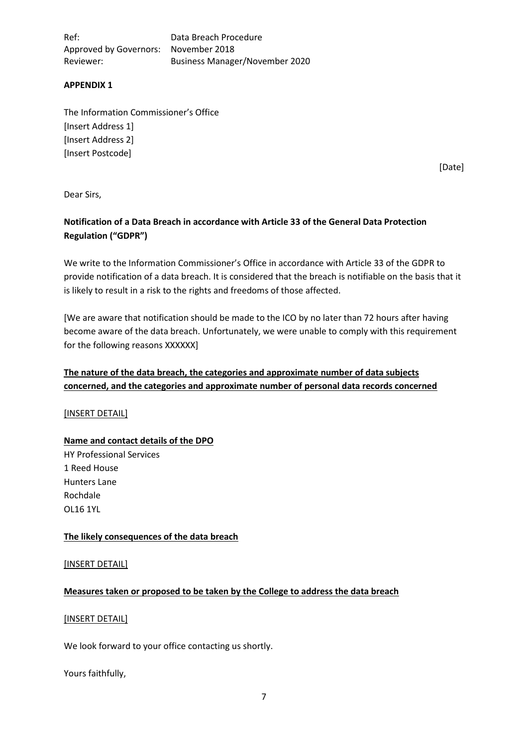Ref: Data Breach Procedure Approved by Governors: November 2018 Reviewer: Business Manager/November 2020

#### **APPENDIX 1**

The Information Commissioner's Office [Insert Address 1] [Insert Address 2] [Insert Postcode]

[Date]

Dear Sirs,

## **Notification of a Data Breach in accordance with Article 33 of the General Data Protection Regulation ("GDPR")**

We write to the Information Commissioner's Office in accordance with Article 33 of the GDPR to provide notification of a data breach. It is considered that the breach is notifiable on the basis that it is likely to result in a risk to the rights and freedoms of those affected.

[We are aware that notification should be made to the ICO by no later than 72 hours after having become aware of the data breach. Unfortunately, we were unable to comply with this requirement for the following reasons XXXXXXI]

## **The nature of the data breach, the categories and approximate number of data subjects concerned, and the categories and approximate number of personal data records concerned**

#### [INSERT DETAIL]

## **Name and contact details of the DPO**

HY Professional Services 1 Reed House Hunters Lane Rochdale OL16 1YL

#### **The likely consequences of the data breach**

[INSERT DETAIL]

#### **Measures taken or proposed to be taken by the College to address the data breach**

#### [INSERT DETAIL]

We look forward to your office contacting us shortly.

Yours faithfully,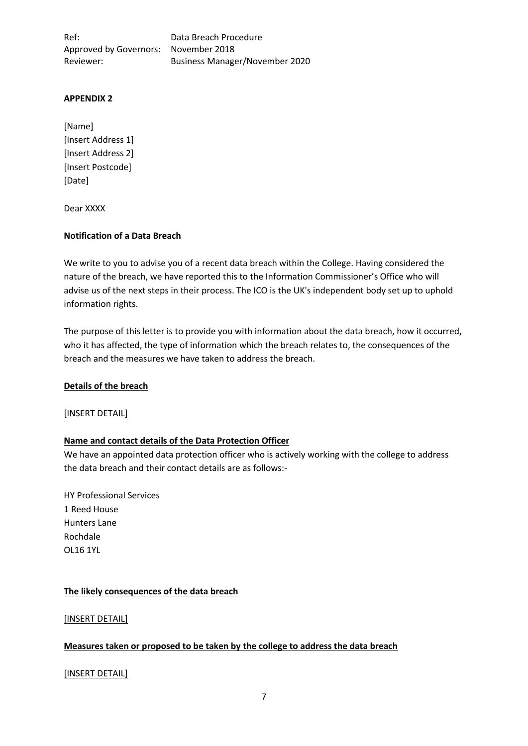Ref: Data Breach Procedure Approved by Governors: November 2018 Reviewer: Business Manager/November 2020

#### **APPENDIX 2**

[Name] [Insert Address 1] [Insert Address 2] [Insert Postcode] [Date]

Dear XXXX

#### **Notification of a Data Breach**

We write to you to advise you of a recent data breach within the College. Having considered the nature of the breach, we have reported this to the Information Commissioner's Office who will advise us of the next steps in their process. The ICO is the UK's independent body set up to uphold information rights.

The purpose of this letter is to provide you with information about the data breach, how it occurred, who it has affected, the type of information which the breach relates to, the consequences of the breach and the measures we have taken to address the breach.

## **Details of the breach**

#### [INSERT DETAIL]

## **Name and contact details of the Data Protection Officer**

We have an appointed data protection officer who is actively working with the college to address the data breach and their contact details are as follows:-

HY Professional Services 1 Reed House Hunters Lane Rochdale OL16 1YL

#### **The likely consequences of the data breach**

[INSERT DETAIL]

## **Measures taken or proposed to be taken by the college to address the data breach**

[INSERT DETAIL]